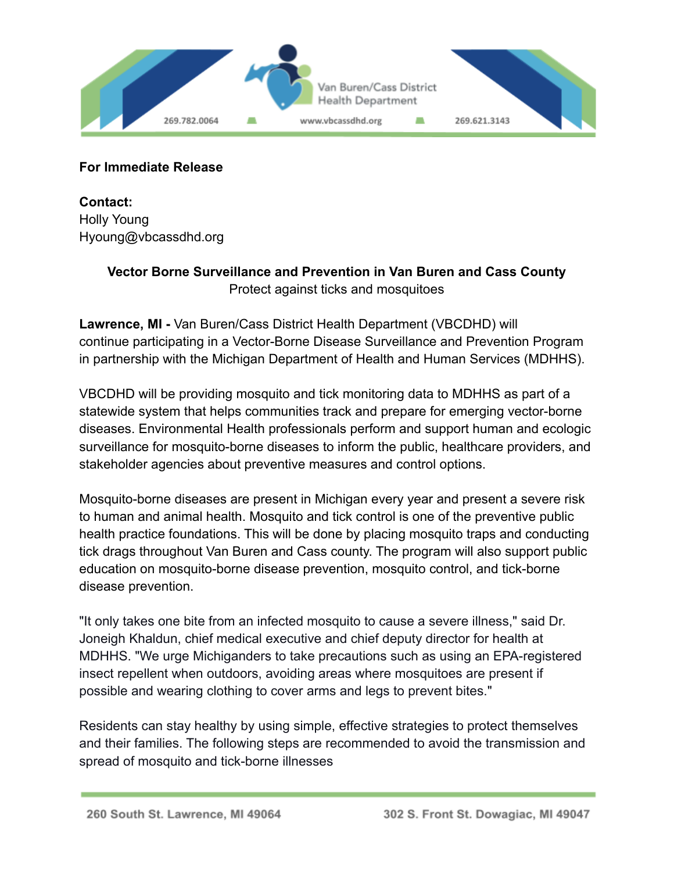

## **For Immediate Release**

**Contact:** Holly Young Hyoung@vbcassdhd.org

## **Vector Borne Surveillance and Prevention in Van Buren and Cass County** Protect against ticks and mosquitoes

**Lawrence, MI -** Van Buren/Cass District Health Department (VBCDHD) will continue participating in a Vector-Borne Disease Surveillance and Prevention Program in partnership with the Michigan Department of Health and Human Services (MDHHS).

VBCDHD will be providing mosquito and tick monitoring data to MDHHS as part of a statewide system that helps communities track and prepare for emerging vector-borne diseases. Environmental Health professionals perform and support human and ecologic surveillance for mosquito-borne diseases to inform the public, healthcare providers, and stakeholder agencies about preventive measures and control options.

Mosquito-borne diseases are present in Michigan every year and present a severe risk to human and animal health. Mosquito and tick control is one of the preventive public health practice foundations. This will be done by placing mosquito traps and conducting tick drags throughout Van Buren and Cass county. The program will also support public education on mosquito-borne disease prevention, mosquito control, and tick-borne disease prevention.

"It only takes one bite from an infected mosquito to cause a severe illness," said Dr. Joneigh Khaldun, chief medical executive and chief deputy director for health at MDHHS. "We urge Michiganders to take precautions such as using an EPA-registered insect repellent when outdoors, avoiding areas where mosquitoes are present if possible and wearing clothing to cover arms and legs to prevent bites."

Residents can stay healthy by using simple, effective strategies to protect themselves and their families. The following steps are recommended to avoid the transmission and spread of mosquito and tick-borne illnesses